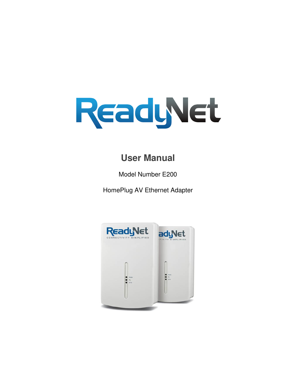

# **User Manual**

Model Number E200

HomePlug AV Ethernet Adapter

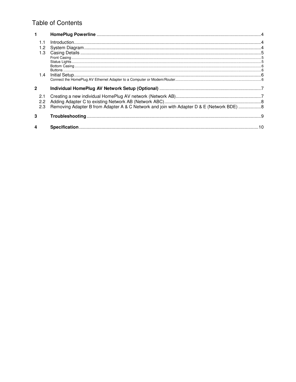## **Table of Contents**

|                | 1.3               |                                                                                           |  |
|----------------|-------------------|-------------------------------------------------------------------------------------------|--|
|                |                   |                                                                                           |  |
|                | 1.4               |                                                                                           |  |
| $\overline{2}$ |                   |                                                                                           |  |
|                | 2.1<br>2.2<br>2.3 | Removing Adapter B from Adapter A & C Network and join with Adapter D & E (Network BDE) 8 |  |
| 3              |                   |                                                                                           |  |
|                |                   |                                                                                           |  |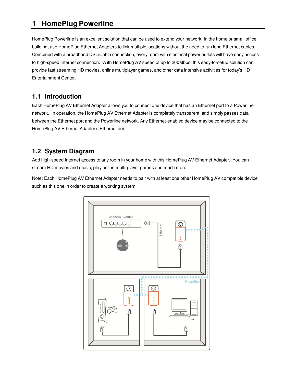## **1 HomePlug Powerline**

HomePlug Powerline is an excellent solution that can be used to extend your network. In the home or small office building, use HomePlug Ethernet Adapters to link multiple locations without the need to run long Ethernet cables. Combined with a broadband DSL/Cable connection, every room with electrical power outlets will have easy access to high-speed Internet connection. With HomePlug AV speed of up to 200Mbps, this easy-to-setup solution can provide fast streaming HD movies, online multiplayer games, and other data intensive activities for today's HD Entertainment Center.

### **1.1 Introduction**

Each HomePlug AV Ethernet Adapter allows you to connect one device that has an Ethernet port to a Powerline network. In operation, the HomePlug AV Ethernet Adapter is completely transparent, and simply passes data between the Ethernet port and the Powerline network. Any Ethernet-enabled device may be connected to the HomePlug AV Ethernet Adapter's Ethernet port.

## **1.2 System Diagram**

Add high-speed Internet access to any room in your home with this HomePlug AV Ethernet Adapter. You can stream HD movies and music, play online multi-player games and much more.

Note: Each HomePlug AV Ethernet Adapter needs to pair with at least one other HomePlug AV compatible device such as this one in order to create a working system.

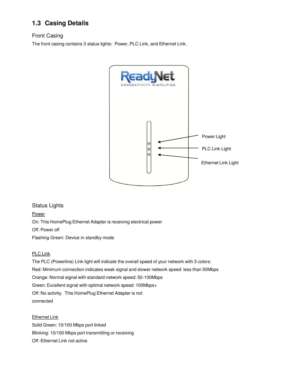## **1.3 Casing Details**

### Front Casing

The front casing contains 3 status lights: Power, PLC Link, and Ethernet Link.



#### Status Lights

**Power** 

On: This HomePlug Ethernet Adapter is receiving electrical power

Off: Power off

Flashing Green: Device in standby mode

#### PLC Link

The PLC (Powerline) Link light will indicate the overall speed of your network with 3 colors: Red: Minimum connection indicates weak signal and slower network speed: less than 50Mbps Orange: Normal signal with standard network speed: 50-100Mbps Green: Excellent signal with optimal network speed: 100Mbps+ Off: No activity. This HomePlug Ethernet Adapter is not connected

Ethernet Link Solid Green: 10/100 Mbps port linked Blinking: 10/100 Mbps port transmitting or receiving Off: Ethernet Link not active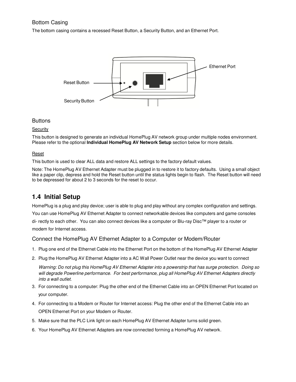#### Bottom Casing

The bottom casing contains a recessed Reset Button, a Security Button, and an Ethernet Port.



#### **Buttons**

#### **Security**

This button is designed to generate an individual HomePlug AV network group under multiple nodes environment. Please refer to the optional **Individual HomePlug AV Network Setup** section below for more details.

#### Reset

This button is used to clear ALL data and restore ALL settings to the factory default values.

Note: The HomePlug AV Ethernet Adapter must be plugged in to restore it to factory defaults. Using a small object like a paper clip, depress and hold the Reset button until the status lights begin to flash. The Reset button will need to be depressed for about 2 to 3 seconds for the reset to occur.

### **1.4 Initial Setup**

HomePlug is a plug and play device; user is able to plug and play without any complex configuration and settings. You can use HomePlug AV Ethernet Adapter to connect networkable devices like computers and game consoles di- rectly to each other. You can also connect devices like a computer or Blu-ray Disc™ player to a router or modem for Internet access.

#### Connect the HomePlug AV Ethernet Adapter to a Computer or Modem/Router

- 1. Plug one end of the Ethernet Cable into the Ethernet Port on the bottom of the HomePlug AV Ethernet Adapter
- 2. Plug the HomePlug AV Ethernet Adapter into a AC Wall Power Outlet near the device you want to connect

*Warning: Do not plug this HomePlug AV Ethernet Adapter into a powerstrip that has surge protection. Doing so will degrade Powerline performance. For best performance, plug all HomePlug AV Ethernet Adapters directly into a wall outlet.*

- 3. For connecting to a computer: Plug the other end of the Ethernet Cable into an OPEN Ethernet Port located on your computer.
- 4. For connecting to a Modem or Router for Internet access: Plug the other end of the Ethernet Cable into an OPEN Ethernet Port on your Modem or Router.
- 5. Make sure that the PLC Link light on each HomePlug AV Ethernet Adapter turns solid green.
- 6. Your HomePlug AV Ethernet Adapters are now connected forming a HomePlug AV network.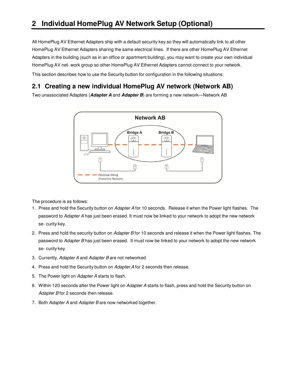All HomePlug AV Ethernet Adapters ship with a default security key so they will automatically link to all other HomePlug AV Ethernet Adapters sharing the same electrical lines. If there are other HomePlug AV Ethernet Adapters in the building (such as in an office or apartment building), you may want to create your own individual HomePlug AV net- work group so other HomePlug AV Ethernet Adapters cannot connect to your network.

This section describes how to use the Security button for configuration in the following situations:

### **2.1 Creating a new individual HomePlug AV network (Network AB)**

Two unassociated Adapters (**Adapter A** and **Adapter B**) are forming a new network—Network AB



The procedure is as follows:

- 1. Press and hold the Security button on *Adapter A* for 10 seconds. Release it when the Power light flashes. The password to *Adapter A* has just been erased. It must now be linked to your network to adopt the new network se- curity key.
- 2. Press and hold the security button on *Adapter B* for 10 seconds and release it when the Power light flashes. The password to *Adapter B* has just been erased. It must now be linked to your network to adopt the new network se- curity key.
- 3. Currently, *Adapter A* and *Adapter B* are not networked
- 4. Press and hold the Security button on *Adapter A* for 2 seconds then release.
- 5. The Power light on *Adapter A* starts to flash.
- 6. Within 120 seconds after the Power light on *Adapter A* starts to flash, press and hold the Security button on *Adapter B* for 2 seconds then release.
- 7. Both *Adapter A* and *Adapter B* are now networked together.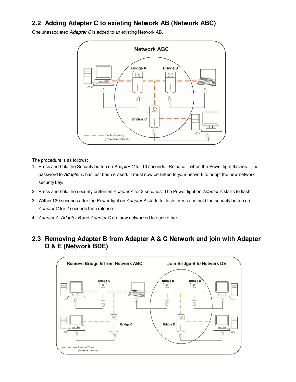## **2.2 Adding Adapter C to existing Network AB (Network ABC)**

One unassociated **Adapter C** is added to an existing Network AB.



The procedure is as follows:

- 1. Press and hold the Security button on *Adapter C* for 10 seconds. Release it when the Power light flashes. The password to *Adapter C* has just been erased. It must now be linked to your network to adopt the new network security key.
- 2. Press and hold the security button on *Adapter A* for 2 seconds. The Power light on *Adapter A* starts to flash.
- 3. Within 120 seconds after the Power light on *Adapter A* starts to flash, press and hold the security button on *Adapter C* for 2 seconds then release.
- 4. *Adapter A*, *Adapter B* and *Adapter C* are now networked to each other.

### **2.3 Removing Adapter B from Adapter A & C Network and join with Adapter D & E (Network BDE)**

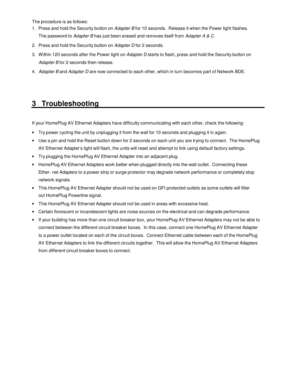The procedure is as follows:

- 1. Press and hold the Security button on *Adapter B* for 10 seconds. Release it when the Power light flashes. The password to *Adapter B* has just been erased and removes itself from *Adapter A & C*.
- 2. Press and hold the Security button on *Adapter D* for 2 seconds.
- 3. Within 120 seconds after the Power light on *Adapter D* starts to flash, press and hold the Security button on *Adapter B* for 2 seconds then release.
- 4. *Adapter B* and *Adapter D* are now connected to each other, which in turn becomes part of Network BDE.

## **3 Troubleshooting**

If your HomePlug AV Ethernet Adapters have difficulty communicating with each other, check the following:

- Try power cycling the unit by unplugging it from the wall for 10 seconds and plugging it in again.
- Use a pin and hold the Reset button down for 2 seconds on each unit you are trying to connect. The HomePlug AV Ethernet Adapter's light will flash, the units will reset and attempt to link using default factory settings.
- Try plugging the HomePlug AV Ethernet Adapter into an adjacent plug.
- HomePlug AV Ethernet Adapters work better when plugged directly into the wall outlet. Connecting these Ether- net Adapters to a power strip or surge protector may degrade network performance or completely stop network signals.
- This HomePlug AV Ethernet Adapter should not be used on GFI protected outlets as some outlets will filter out HomePlug Powerline signal.
- This HomePlug AV Ethernet Adapter should not be used in areas with excessive heat.
- Certain florescent or incandescent lights are noise sources on the electrical and can degrade performance.
- If your building has more than one circuit breaker box, your HomePlug AV Ethernet Adapters may not be able to connect between the different circuit breaker boxes. In this case, connect one HomePlug AV Ethernet Adapter to a power outlet located on each of the circuit boxes. Connect Ethernet cable between each of the HomePlug AV Ethernet Adapters to link the different circuits together. This will allow the HomePlug AV Ethernet Adapters from different circuit breaker boxes to connect.